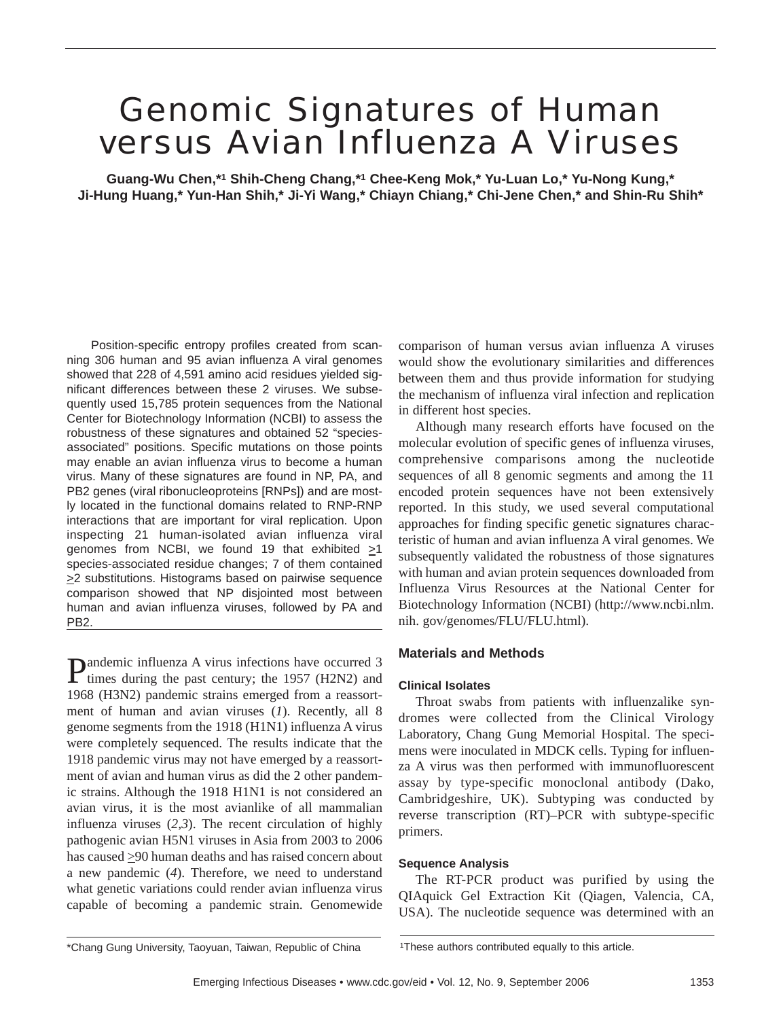# Genomic Signatures of Human versus Avian Influenza A Viruses

**Guang-Wu Chen,\*1 Shih-Cheng Chang,\*1 Chee-Keng Mok,\* Yu-Luan Lo,\* Yu-Nong Kung,\* Ji-Hung Huang,\* Yun-Han Shih,\* Ji-Yi Wang,\* Chiayn Chiang,\* Chi-Jene Chen,\* and Shin-Ru Shih\***

Position-specific entropy profiles created from scanning 306 human and 95 avian influenza A viral genomes showed that 228 of 4,591 amino acid residues yielded significant differences between these 2 viruses. We subsequently used 15,785 protein sequences from the National Center for Biotechnology Information (NCBI) to assess the robustness of these signatures and obtained 52 "speciesassociated" positions. Specific mutations on those points may enable an avian influenza virus to become a human virus. Many of these signatures are found in NP, PA, and PB2 genes (viral ribonucleoproteins [RNPs]) and are mostly located in the functional domains related to RNP-RNP interactions that are important for viral replication. Upon inspecting 21 human-isolated avian influenza viral genomes from NCBI, we found 19 that exhibited  $\geq 1$ species-associated residue changes; 7 of them contained >2 substitutions. Histograms based on pairwise sequence comparison showed that NP disjointed most between human and avian influenza viruses, followed by PA and PB2.

Pandemic influenza A virus infections have occurred 3 times during the past century; the 1957 (H2N2) and 1968 (H3N2) pandemic strains emerged from a reassortment of human and avian viruses (*1*). Recently, all 8 genome segments from the 1918 (H1N1) influenza A virus were completely sequenced. The results indicate that the 1918 pandemic virus may not have emerged by a reassortment of avian and human virus as did the 2 other pandemic strains. Although the 1918 H1N1 is not considered an avian virus, it is the most avianlike of all mammalian influenza viruses (*2,3*). The recent circulation of highly pathogenic avian H5N1 viruses in Asia from 2003 to 2006 has caused  $\geq$ 90 human deaths and has raised concern about a new pandemic (*4*). Therefore, we need to understand what genetic variations could render avian influenza virus capable of becoming a pandemic strain. Genomewide

comparison of human versus avian influenza A viruses would show the evolutionary similarities and differences between them and thus provide information for studying the mechanism of influenza viral infection and replication in different host species.

Although many research efforts have focused on the molecular evolution of specific genes of influenza viruses, comprehensive comparisons among the nucleotide sequences of all 8 genomic segments and among the 11 encoded protein sequences have not been extensively reported. In this study, we used several computational approaches for finding specific genetic signatures characteristic of human and avian influenza A viral genomes. We subsequently validated the robustness of those signatures with human and avian protein sequences downloaded from Influenza Virus Resources at the National Center for Biotechnology Information (NCBI) (http://www.ncbi.nlm. nih. gov/genomes/FLU/FLU.html).

# **Materials and Methods**

# **Clinical Isolates**

Throat swabs from patients with influenzalike syndromes were collected from the Clinical Virology Laboratory, Chang Gung Memorial Hospital. The specimens were inoculated in MDCK cells. Typing for influenza A virus was then performed with immunofluorescent assay by type-specific monoclonal antibody (Dako, Cambridgeshire, UK). Subtyping was conducted by reverse transcription (RT)–PCR with subtype-specific primers.

# **Sequence Analysis**

The RT-PCR product was purified by using the QIAquick Gel Extraction Kit (Qiagen, Valencia, CA, USA). The nucleotide sequence was determined with an

\*Chang Gung University, Taoyuan, Taiwan, Republic of China 1These authors contributed equally to this article.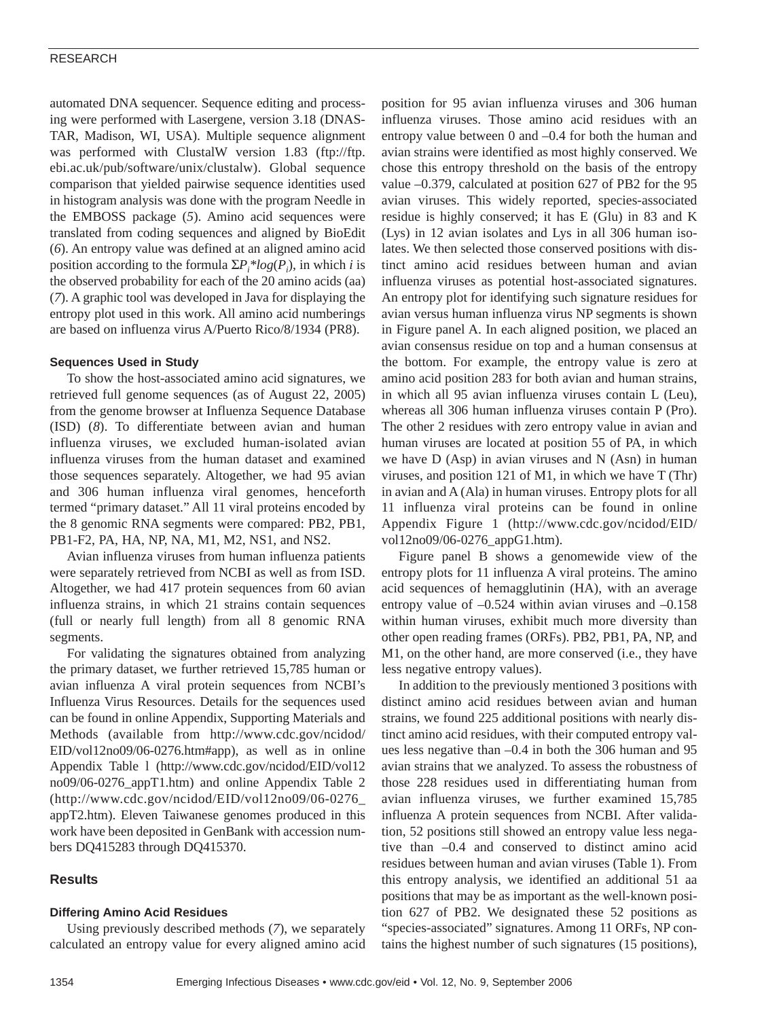automated DNA sequencer. Sequence editing and processing were performed with Lasergene, version 3.18 (DNAS-TAR, Madison, WI, USA). Multiple sequence alignment was performed with ClustalW version 1.83 (ftp://ftp. ebi.ac.uk/pub/software/unix/clustalw). Global sequence comparison that yielded pairwise sequence identities used in histogram analysis was done with the program Needle in the EMBOSS package (*5*). Amino acid sequences were translated from coding sequences and aligned by BioEdit (*6*). An entropy value was defined at an aligned amino acid position according to the formula  $\Sigma P_i^* log(P_i)$ , in which *i* is the observed probability for each of the 20 amino acids (aa) (*7*). A graphic tool was developed in Java for displaying the entropy plot used in this work. All amino acid numberings are based on influenza virus A/Puerto Rico/8/1934 (PR8).

#### **Sequences Used in Study**

To show the host-associated amino acid signatures, we retrieved full genome sequences (as of August 22, 2005) from the genome browser at Influenza Sequence Database (ISD) (*8*). To differentiate between avian and human influenza viruses, we excluded human-isolated avian influenza viruses from the human dataset and examined those sequences separately. Altogether, we had 95 avian and 306 human influenza viral genomes, henceforth termed "primary dataset." All 11 viral proteins encoded by the 8 genomic RNA segments were compared: PB2, PB1, PB1-F2, PA, HA, NP, NA, M1, M2, NS1, and NS2.

Avian influenza viruses from human influenza patients were separately retrieved from NCBI as well as from ISD. Altogether, we had 417 protein sequences from 60 avian influenza strains, in which 21 strains contain sequences (full or nearly full length) from all 8 genomic RNA segments.

For validating the signatures obtained from analyzing the primary dataset, we further retrieved 15,785 human or avian influenza A viral protein sequences from NCBI's Influenza Virus Resources. Details for the sequences used can be found in online Appendix, Supporting Materials and Methods (available from http://www.cdc.gov/ncidod/ EID/vol12no09/06-0276.htm#app), as well as in online Appendix Table l (http://www.cdc.gov/ncidod/EID/vol12 no09/06-0276\_appT1.htm) and online Appendix Table 2 (http://www.cdc.gov/ncidod/EID/vol12no09/06-0276\_ appT2.htm). Eleven Taiwanese genomes produced in this work have been deposited in GenBank with accession numbers DQ415283 through DQ415370.

# **Results**

# **Differing Amino Acid Residues**

Using previously described methods (*7*), we separately calculated an entropy value for every aligned amino acid position for 95 avian influenza viruses and 306 human influenza viruses. Those amino acid residues with an entropy value between 0 and –0.4 for both the human and avian strains were identified as most highly conserved. We chose this entropy threshold on the basis of the entropy value –0.379, calculated at position 627 of PB2 for the 95 avian viruses. This widely reported, species-associated residue is highly conserved; it has E (Glu) in 83 and K (Lys) in 12 avian isolates and Lys in all 306 human isolates. We then selected those conserved positions with distinct amino acid residues between human and avian influenza viruses as potential host-associated signatures. An entropy plot for identifying such signature residues for avian versus human influenza virus NP segments is shown in Figure panel A. In each aligned position, we placed an avian consensus residue on top and a human consensus at the bottom. For example, the entropy value is zero at amino acid position 283 for both avian and human strains, in which all 95 avian influenza viruses contain L (Leu), whereas all 306 human influenza viruses contain P (Pro). The other 2 residues with zero entropy value in avian and human viruses are located at position 55 of PA, in which we have D (Asp) in avian viruses and N (Asn) in human viruses, and position 121 of M1, in which we have T (Thr) in avian and A (Ala) in human viruses. Entropy plots for all 11 influenza viral proteins can be found in online Appendix Figure 1 (http://www.cdc.gov/ncidod/EID/ vol12no09/06-0276\_appG1.htm).

Figure panel B shows a genomewide view of the entropy plots for 11 influenza A viral proteins. The amino acid sequences of hemagglutinin (HA), with an average entropy value of  $-0.524$  within avian viruses and  $-0.158$ within human viruses, exhibit much more diversity than other open reading frames (ORFs). PB2, PB1, PA, NP, and M1, on the other hand, are more conserved (i.e., they have less negative entropy values).

In addition to the previously mentioned 3 positions with distinct amino acid residues between avian and human strains, we found 225 additional positions with nearly distinct amino acid residues, with their computed entropy values less negative than –0.4 in both the 306 human and 95 avian strains that we analyzed. To assess the robustness of those 228 residues used in differentiating human from avian influenza viruses, we further examined 15,785 influenza A protein sequences from NCBI. After validation, 52 positions still showed an entropy value less negative than –0.4 and conserved to distinct amino acid residues between human and avian viruses (Table 1). From this entropy analysis, we identified an additional 51 aa positions that may be as important as the well-known position 627 of PB2. We designated these 52 positions as "species-associated" signatures. Among 11 ORFs, NP contains the highest number of such signatures (15 positions),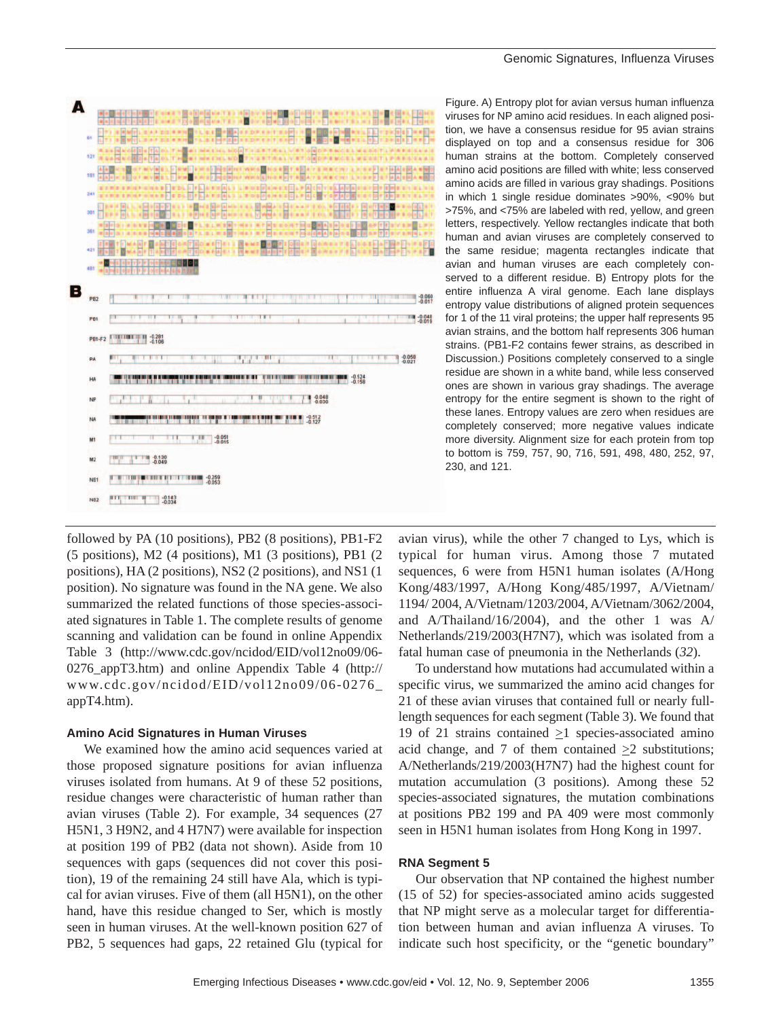

followed by PA (10 positions), PB2 (8 positions), PB1-F2 (5 positions), M2 (4 positions), M1 (3 positions), PB1 (2 positions), HA (2 positions), NS2 (2 positions), and NS1 (1 position). No signature was found in the NA gene. We also summarized the related functions of those species-associated signatures in Table 1. The complete results of genome scanning and validation can be found in online Appendix Table 3 (http://www.cdc.gov/ncidod/EID/vol12no09/06- 0276\_appT3.htm) and online Appendix Table 4 (http:// www.cdc.gov/ncidod/EID/vol12no09/06-0276\_ appT4.htm).

#### **Amino Acid Signatures in Human Viruses**

We examined how the amino acid sequences varied at those proposed signature positions for avian influenza viruses isolated from humans. At 9 of these 52 positions, residue changes were characteristic of human rather than avian viruses (Table 2). For example, 34 sequences (27 H5N1, 3 H9N2, and 4 H7N7) were available for inspection at position 199 of PB2 (data not shown). Aside from 10 sequences with gaps (sequences did not cover this position), 19 of the remaining 24 still have Ala, which is typical for avian viruses. Five of them (all H5N1), on the other hand, have this residue changed to Ser, which is mostly seen in human viruses. At the well-known position 627 of PB2, 5 sequences had gaps, 22 retained Glu (typical for

Figure. A) Entropy plot for avian versus human influenza viruses for NP amino acid residues. In each aligned position, we have a consensus residue for 95 avian strains displayed on top and a consensus residue for 306 human strains at the bottom. Completely conserved amino acid positions are filled with white; less conserved amino acids are filled in various gray shadings. Positions in which 1 single residue dominates >90%, <90% but >75%, and <75% are labeled with red, yellow, and green letters, respectively. Yellow rectangles indicate that both human and avian viruses are completely conserved to the same residue; magenta rectangles indicate that avian and human viruses are each completely conserved to a different residue. B) Entropy plots for the entire influenza A viral genome. Each lane displays entropy value distributions of aligned protein sequences for 1 of the 11 viral proteins; the upper half represents 95 avian strains, and the bottom half represents 306 human strains. (PB1-F2 contains fewer strains, as described in Discussion.) Positions completely conserved to a single residue are shown in a white band, while less conserved ones are shown in various gray shadings. The average entropy for the entire segment is shown to the right of these lanes. Entropy values are zero when residues are completely conserved; more negative values indicate more diversity. Alignment size for each protein from top to bottom is 759, 757, 90, 716, 591, 498, 480, 252, 97, 230, and 121.

avian virus), while the other 7 changed to Lys, which is typical for human virus. Among those 7 mutated sequences, 6 were from H5N1 human isolates (A/Hong Kong/483/1997, A/Hong Kong/485/1997, A/Vietnam/ 1194/ 2004, A/Vietnam/1203/2004, A/Vietnam/3062/2004, and A/Thailand/16/2004), and the other 1 was A/ Netherlands/219/2003(H7N7), which was isolated from a fatal human case of pneumonia in the Netherlands (*32*).

To understand how mutations had accumulated within a specific virus, we summarized the amino acid changes for 21 of these avian viruses that contained full or nearly fulllength sequences for each segment (Table 3). We found that 19 of 21 strains contained  $\geq$ 1 species-associated amino acid change, and 7 of them contained  $\geq 2$  substitutions; A/Netherlands/219/2003(H7N7) had the highest count for mutation accumulation (3 positions). Among these 52 species-associated signatures, the mutation combinations at positions PB2 199 and PA 409 were most commonly seen in H5N1 human isolates from Hong Kong in 1997.

#### **RNA Segment 5**

Our observation that NP contained the highest number (15 of 52) for species-associated amino acids suggested that NP might serve as a molecular target for differentiation between human and avian influenza A viruses. To indicate such host specificity, or the "genetic boundary"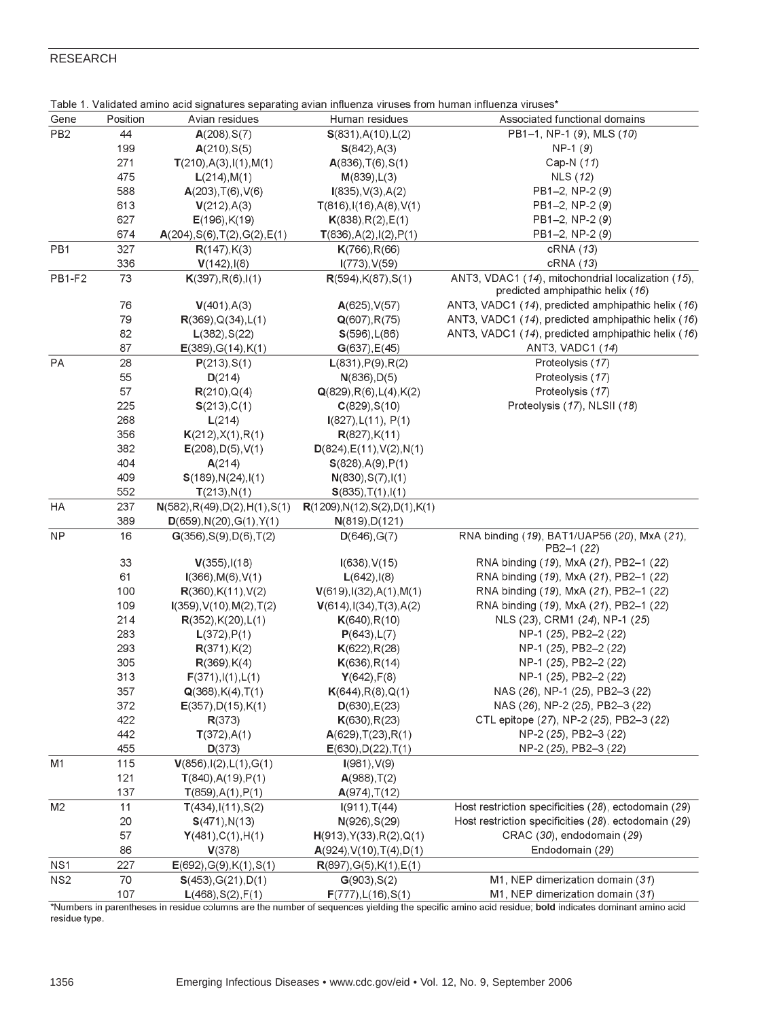|                 |          | l able 1. Validated amino acid signatures separating avian influenza viruses from human influenza viruses' |                                      |                                                      |
|-----------------|----------|------------------------------------------------------------------------------------------------------------|--------------------------------------|------------------------------------------------------|
| Gene            | Position | Avian residues                                                                                             | Human residues                       | Associated functional domains                        |
| PB <sub>2</sub> | 44       | A(208), S(7)                                                                                               | S(831), A(10), L(2)                  | PB1-1, NP-1 (9), MLS (10)                            |
|                 | 199      | A(210), S(5)                                                                                               | S(842), A(3)                         | $NP-1(9)$                                            |
|                 | 271      | T(210), A(3), I(1), M(1)                                                                                   | A(836), T(6), S(1)                   | Cap-N (11)                                           |
|                 | 475      | L(214), M(1)                                                                                               | M(839), L(3)                         | <b>NLS (12)</b>                                      |
|                 | 588      | A(203), T(6), V(6)                                                                                         | I(835), V(3), A(2)                   | PB1-2, NP-2 (9)                                      |
|                 | 613      | V(212), A(3)                                                                                               | $T(816)$ , I(16), A(8), V(1)         | PB1-2, NP-2 (9)                                      |
|                 | 627      | $E(196)$ , K $(19)$                                                                                        | K(838), R(2), E(1)                   | PB1-2, NP-2 (9)                                      |
|                 | 674      | A(204), S(6), T(2), G(2), E(1)                                                                             | T(836), A(2), I(2), P(1)             | PB1-2, NP-2 (9)                                      |
| PB1             | 327      | R(147), K(3)                                                                                               | K(766), R(66)                        | cRNA (13)                                            |
|                 | 336      | V(142), I(8)                                                                                               | $I(773)$ , $V(59)$                   | cRNA (13)                                            |
| <b>PB1-F2</b>   | 73       | K(397), R(6), I(1)                                                                                         | R(594), K(87), S(1)                  | ANT3, VDAC1 (14), mitochondrial localization (15),   |
|                 |          |                                                                                                            |                                      | predicted amphipathic helix (16)                     |
|                 | 76       | V(401), A(3)                                                                                               | A(625), V(57)                        | ANT3, VADC1 (14), predicted amphipathic helix (16)   |
|                 | 79       | R(369), Q(34), L(1)                                                                                        | Q(607), R(75)                        | ANT3, VADC1 (14), predicted amphipathic helix (16)   |
|                 | 82       | L(382), S(22)                                                                                              | S(596), L(86)                        | ANT3, VADC1 (14), predicted amphipathic helix (16)   |
|                 | 87       | $E(389)$ , G $(14)$ , K $(1)$                                                                              | G(637), E(45)                        | ANT3, VADC1 (14)                                     |
| РA              | 28       | P(213), S(1)                                                                                               | L(831), P(9), R(2)                   | Proteolysis (17)                                     |
|                 | 55       | D(214)                                                                                                     | N(836), D(5)                         | Proteolysis (17)                                     |
|                 | 57       | R(210), Q(4)                                                                                               | Q(829), R(6), L(4), K(2)             | Proteolysis (17)                                     |
|                 | 225      | S(213), C(1)                                                                                               | C(829), S(10)                        | Proteolysis (17), NLSII (18)                         |
|                 | 268      | L(214)                                                                                                     | I(827), L(11), P(1)                  |                                                      |
|                 | 356      | K(212), X(1), R(1)                                                                                         | R(827), K(11)                        |                                                      |
|                 | 382      | E(208), D(5), V(1)                                                                                         | D(824), E(11), V(2), N(1)            |                                                      |
|                 | 404      | A(214)                                                                                                     | S(828), A(9), P(1)                   |                                                      |
|                 | 409      | S(189), N(24), I(1)                                                                                        | N(830), S(7), I(1)                   |                                                      |
|                 | 552      | T(213), N(1)                                                                                               | S(835), T(1), I(1)                   |                                                      |
| HA              | 237      | N(582), R(49), D(2), H(1), S(1)                                                                            | R(1209), N(12), S(2), D(1), K(1)     |                                                      |
|                 | 389      | D(659), N(20), G(1), Y(1)                                                                                  | N(819), D(121)                       |                                                      |
| <b>NP</b>       | 16       | G(356), S(9), D(6), T(2)                                                                                   | D(646), G(7)                         | RNA binding (19), BAT1/UAP56 (20), MxA (21),         |
|                 |          |                                                                                                            |                                      | PB2-1 (22)                                           |
|                 | 33       | V(355), I(18)                                                                                              | I(638), V(15)                        | RNA binding (19), MxA (21), PB2-1 (22)               |
|                 | 61       | I(366), M(6), V(1)                                                                                         | L(642), I(8)                         | RNA binding (19), MxA (21), PB2-1 (22)               |
|                 | 100      | R(360), K(11), V(2)                                                                                        | V(619), I(32), A(1), M(1)            | RNA binding (19), MxA (21), PB2-1 (22)               |
|                 | 109      | $I(359)$ , V(10), M(2), T(2)                                                                               | $V(614)$ , $I(34)$ , $T(3)$ , $A(2)$ | RNA binding (19), MxA (21), PB2-1 (22)               |
|                 | 214      | R(352), K(20), L(1)                                                                                        | K(640), R(10)                        | NLS (23), CRM1 (24), NP-1 (25)                       |
|                 | 283      | L(372), P(1)                                                                                               | P(643), L(7)                         | NP-1 (25), PB2-2 (22)                                |
|                 | 293      | R(371), K(2)                                                                                               | K(622), R(28)                        | NP-1 (25), PB2-2 (22)                                |
|                 | 305      | R(369), K(4)                                                                                               | K(636), R(14)                        | NP-1 (25), PB2-2 (22)                                |
|                 | 313      | F(371), I(1), L(1)                                                                                         | Y(642), F(8)                         | NP-1 (25), PB2-2 (22)                                |
|                 | 357      | $Q(368)$ , K $(4)$ , T $(1)$                                                                               | K(644), R(8), Q(1)                   | NAS (26), NP-1 (25), PB2-3 (22)                      |
|                 | 372      | E(357), D(15), K(1)                                                                                        | D(630), E(23)                        | NAS (26), NP-2 (25), PB2-3 (22)                      |
|                 | 422      | R(373)                                                                                                     | K(630), R(23)                        | CTL epitope (27), NP-2 (25), PB2-3 (22)              |
|                 | 442      | T(372), A(1)                                                                                               | $A(629)$ , T $(23)$ , R $(1)$        | NP-2 (25), PB2-3 (22)                                |
|                 | 455      | D(373)                                                                                                     |                                      | NP-2 (25), PB2-3 (22)                                |
| M1              | 115      |                                                                                                            | E(630), D(22), T(1)                  |                                                      |
|                 |          | V(856), I(2), L(1), G(1)                                                                                   | I(981), V(9)                         |                                                      |
|                 | 121      | T(840), A(19), P(1)                                                                                        | A(988), T(2)                         |                                                      |
|                 | 137      | T(859), A(1), P(1)                                                                                         | A(974), T(12)                        |                                                      |
| M <sub>2</sub>  | 11       | T(434), I(11), S(2)                                                                                        | I(911), T(44)                        | Host restriction specificities (28), ectodomain (29) |
|                 | 20       | S(471), N(13)                                                                                              | N(926), S(29)                        | Host restriction specificities (28). ectodomain (29) |
|                 | 57       | Y(481), C(1), H(1)                                                                                         | H(913), Y(33), R(2), Q(1)            | CRAC (30), endodomain (29)                           |
|                 | 86       | V(378)                                                                                                     | A(924), V(10), T(4), D(1)            | Endodomain (29)                                      |
| NS1             | 227      | E(692), G(9), K(1), S(1)                                                                                   | R(897), G(5), K(1), E(1)             |                                                      |
| NS <sub>2</sub> | 70       | S(453), G(21), D(1)                                                                                        | G(903), S(2)                         | M1, NEP dimerization domain (31)                     |
|                 | 107      | L(468), S(2), F(1)                                                                                         | F(777), L(16), S(1)                  | M1, NEP dimerization domain (31)                     |

| Table 1. Validated amino acid signatures separating avian influenza viruses from human influenza viruses* |  |
|-----------------------------------------------------------------------------------------------------------|--|

\*Numbers in parentheses in residue columns are the number of sequences yielding the specific amino acid residue; bold indicates dominant amino acid residue type.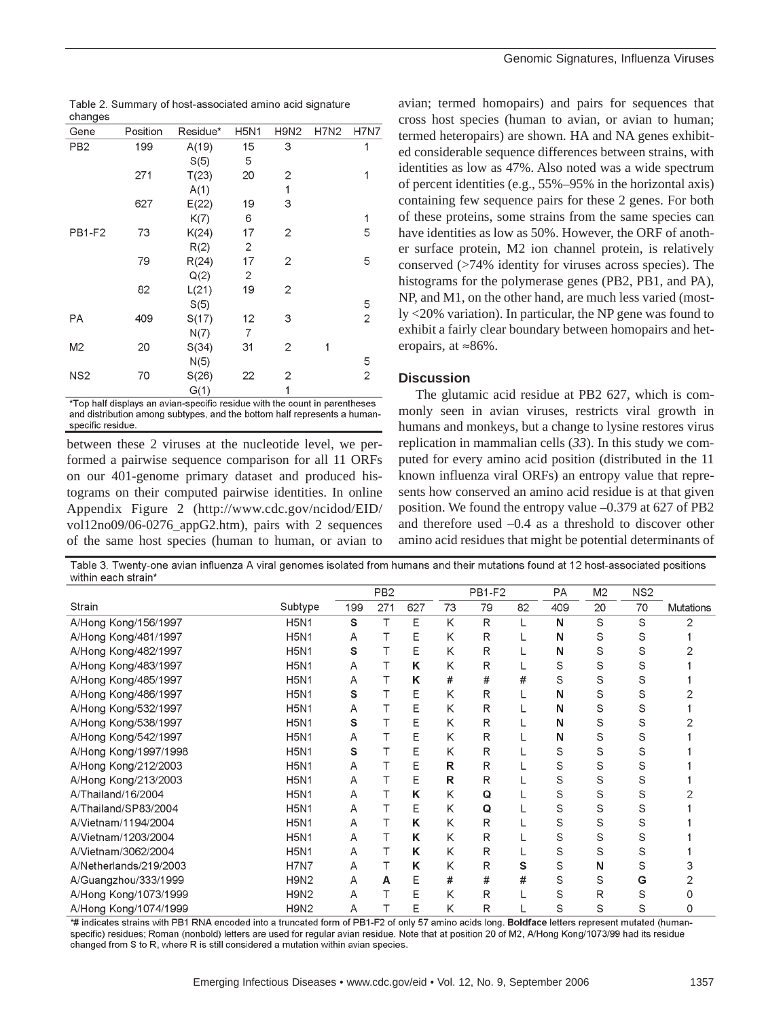| - - - - - - - - -        |          |                  |             |                |        |             |
|--------------------------|----------|------------------|-------------|----------------|--------|-------------|
| Gene                     | Position | Residue*         | H5N1        | H9N2           | H7N2   | <b>H7N7</b> |
| PB <sub>2</sub>          | 199      | A(19)            | 15          | 3              |        | 1           |
|                          |          | S(5)             | 5           |                |        |             |
|                          | 271      | T(23)            | 20          | 2              |        | 1           |
|                          |          | A(1)             |             | 1              |        |             |
|                          | 627      | E(22)            | 19          | 3              |        |             |
|                          |          | K(7)             | 6           |                |        | 1           |
| <b>PB1-F2</b>            | 73       | K(24)            | 17          | 2              |        | 5           |
|                          |          | R(2)             | 2           |                |        |             |
|                          | 79       | R(24)            | 17          | $\overline{2}$ |        | 5           |
|                          |          | Q(2)             | 2           |                |        |             |
|                          | 82       | L(21)            | 19          | 2              |        |             |
|                          |          | S(5)             |             |                |        | 5           |
| РA                       | 409      | S(17)            | 12          | 3              |        | 2           |
|                          |          | N(7)             | 7           |                |        |             |
| M <sub>2</sub>           | 20       | S(34)            | 31          | $\overline{2}$ | 1      |             |
|                          |          | N(5)             |             |                |        | 5           |
| NS <sub>2</sub>          | 70       | S(26)            | 22          | 2              |        | 2           |
|                          |          | G(1)             |             | 1              |        |             |
| $-1$ $-1$ $-1$ $-1$ $-1$ |          | $\sim$<br>$\sim$ | <b>A</b> 11 | 2012/01/12     | $\sim$ | $\bullet$   |

Table 2. Summary of host-associated amino acid signature changes

Top half displays an avian-specific residue with the count in parentheses and distribution among subtypes, and the bottom half represents a humanspecific residue.

between these 2 viruses at the nucleotide level, we performed a pairwise sequence comparison for all 11 ORFs on our 401-genome primary dataset and produced histograms on their computed pairwise identities. In online Appendix Figure 2 (http://www.cdc.gov/ncidod/EID/ vol12no09/06-0276\_appG2.htm), pairs with 2 sequences of the same host species (human to human, or avian to

avian; termed homopairs) and pairs for sequences that cross host species (human to avian, or avian to human; termed heteropairs) are shown. HA and NA genes exhibited considerable sequence differences between strains, with identities as low as 47%. Also noted was a wide spectrum of percent identities (e.g., 55%–95% in the horizontal axis) containing few sequence pairs for these 2 genes. For both of these proteins, some strains from the same species can have identities as low as 50%. However, the ORF of another surface protein, M2 ion channel protein, is relatively conserved (>74% identity for viruses across species). The histograms for the polymerase genes (PB2, PB1, and PA), NP, and M1, on the other hand, are much less varied (mostly <20% variation). In particular, the NP gene was found to exhibit a fairly clear boundary between homopairs and heteropairs, at  $\approx 86\%$ .

#### **Discussion**

The glutamic acid residue at PB2 627, which is commonly seen in avian viruses, restricts viral growth in humans and monkeys, but a change to lysine restores virus replication in mammalian cells (*33*). In this study we computed for every amino acid position (distributed in the 11 known influenza viral ORFs) an entropy value that represents how conserved an amino acid residue is at that given position. We found the entropy value –0.379 at 627 of PB2 and therefore used –0.4 as a threshold to discover other amino acid residues that might be potential determinants of

Table 3. Twenty-one avian influenza A viral genomes isolated from humans and their mutations found at 12 host-associated positions within each strain\*

|                        |                               | PB <sub>2</sub> |     | <b>PB1-F2</b> |              | PA | M2 | NS <sub>2</sub> |    |    |                  |
|------------------------|-------------------------------|-----------------|-----|---------------|--------------|----|----|-----------------|----|----|------------------|
| Strain                 | Subtype                       | 199             | 271 | 627           | 73           | 79 | 82 | 409             | 20 | 70 | <b>Mutations</b> |
| A/Hong Kong/156/1997   | <b>H5N1</b>                   | S               |     | E             | Κ            | R  |    | N               | S  | S  |                  |
| A/Hong Kong/481/1997   | <b>H5N1</b>                   | Α               |     | Е             | Κ            | R  |    | Ν               | S  | S  |                  |
| A/Hong Kong/482/1997   | <b>H5N1</b>                   | s               |     | Ε             | Κ            | R  |    | Ν               | S  | S  |                  |
| A/Hong Kong/483/1997   | <b>H5N1</b>                   | A               |     | Κ             | Κ            | R  |    | S               | S  | S  |                  |
| A/Hong Kong/485/1997   | <b>H5N1</b>                   | A               |     | κ             | #            | #  | #  | S               | S  | S  |                  |
| A/Hong Kong/486/1997   | <b>H5N1</b>                   | s               |     | Ε             | Κ            | R  |    | Ν               | S  | S  |                  |
| A/Hong Kong/532/1997   | <b>H5N1</b>                   | A               |     | Ε             | Κ            | R  |    | Ν               | S  | S  |                  |
| A/Hong Kong/538/1997   | <b>H5N1</b>                   | s               |     | E             | Κ            | R  |    | N               | S  | S  |                  |
| A/Hong Kong/542/1997   | <b>H5N1</b>                   | A               |     | E             | Κ            | R  |    | Ν               | S  | S  |                  |
| A/Hong Kong/1997/1998  | <b>H5N1</b>                   | s               |     | Ε             | Κ            | R  |    | S               | S  | S  |                  |
| A/Hong Kong/212/2003   | <b>H5N1</b>                   | A               |     | E             | R            | R  |    | S               | S  | S  |                  |
| A/Hong Kong/213/2003   | <b>H5N1</b>                   | A               |     | E             | $\mathsf{R}$ | R  |    | S               | S  | S  |                  |
| A/Thailand/16/2004     | <b>H5N1</b>                   | A               |     | κ             | Κ            | Q  |    | S               | S  | S  |                  |
| A/Thailand/SP83/2004   | <b>H5N1</b>                   | A               |     | Ε             | Κ            | Q  |    | S               | S  | S  |                  |
| A/Vietnam/1194/2004    | <b>H5N1</b>                   | A               |     | κ             | K            | R  |    | S               | S  | S  |                  |
| A/Vietnam/1203/2004    | <b>H5N1</b>                   | A               |     | Κ             | Κ            | R  |    | S               | S  | S  |                  |
| A/Vietnam/3062/2004    | <b>H5N1</b>                   | A               | т   | ĸ             | Κ            | R  |    | S               | S  | S  |                  |
| A/Netherlands/219/2003 | <b>H7N7</b>                   | A               |     | Κ             | Κ            | R  | s  | S               | N  | S  |                  |
| A/Guangzhou/333/1999   | H <sub>9</sub> N <sub>2</sub> | A               | А   | Ε             | #            | #  | #  | S               | S  | G  |                  |
| A/Hong Kong/1073/1999  | H9N2                          | A               |     | E             | Κ            | R  |    | S               | R  | S  |                  |
| A/Hong Kong/1074/1999  | H <sub>9</sub> N <sub>2</sub> | A               |     | E             | Κ            | R  |    | S               | S  | S  |                  |

\*# indicates strains with PB1 RNA encoded into a truncated form of PB1-F2 of only 57 amino acids long. Boldface letters represent mutated (humanspecific) residues; Roman (nonbold) letters are used for regular avian residue. Note that at position 20 of M2, A/Hong Kong/1073/99 had its residue changed from S to R, where R is still considered a mutation within avian species.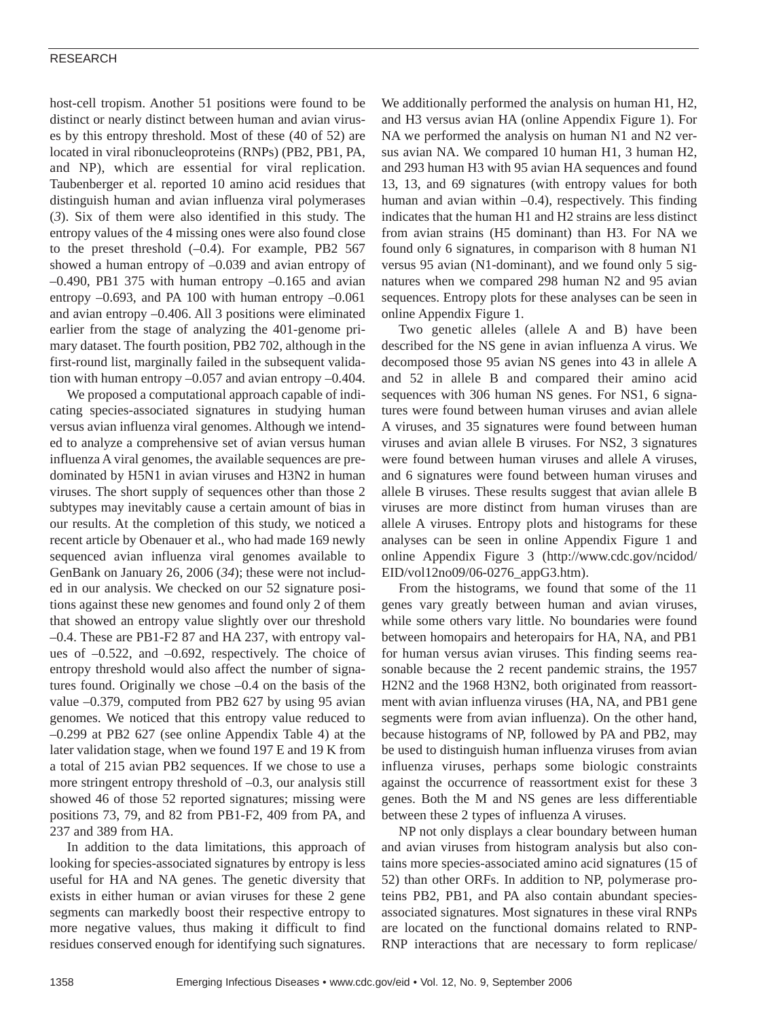host-cell tropism. Another 51 positions were found to be distinct or nearly distinct between human and avian viruses by this entropy threshold. Most of these (40 of 52) are located in viral ribonucleoproteins (RNPs) (PB2, PB1, PA, and NP), which are essential for viral replication. Taubenberger et al. reported 10 amino acid residues that distinguish human and avian influenza viral polymerases (*3*). Six of them were also identified in this study. The entropy values of the 4 missing ones were also found close to the preset threshold  $(-0.4)$ . For example, PB2 567 showed a human entropy of  $-0.039$  and avian entropy of  $-0.490$ , PB1 375 with human entropy  $-0.165$  and avian entropy  $-0.693$ , and PA 100 with human entropy  $-0.061$ and avian entropy –0.406. All 3 positions were eliminated earlier from the stage of analyzing the 401-genome primary dataset. The fourth position, PB2 702, although in the first-round list, marginally failed in the subsequent validation with human entropy –0.057 and avian entropy –0.404.

We proposed a computational approach capable of indicating species-associated signatures in studying human versus avian influenza viral genomes. Although we intended to analyze a comprehensive set of avian versus human influenza A viral genomes, the available sequences are predominated by H5N1 in avian viruses and H3N2 in human viruses. The short supply of sequences other than those 2 subtypes may inevitably cause a certain amount of bias in our results. At the completion of this study, we noticed a recent article by Obenauer et al., who had made 169 newly sequenced avian influenza viral genomes available to GenBank on January 26, 2006 (*34*); these were not included in our analysis. We checked on our 52 signature positions against these new genomes and found only 2 of them that showed an entropy value slightly over our threshold –0.4. These are PB1-F2 87 and HA 237, with entropy values of –0.522, and –0.692, respectively. The choice of entropy threshold would also affect the number of signatures found. Originally we chose –0.4 on the basis of the value –0.379, computed from PB2 627 by using 95 avian genomes. We noticed that this entropy value reduced to –0.299 at PB2 627 (see online Appendix Table 4) at the later validation stage, when we found 197 E and 19 K from a total of 215 avian PB2 sequences. If we chose to use a more stringent entropy threshold of –0.3, our analysis still showed 46 of those 52 reported signatures; missing were positions 73, 79, and 82 from PB1-F2, 409 from PA, and 237 and 389 from HA.

In addition to the data limitations, this approach of looking for species-associated signatures by entropy is less useful for HA and NA genes. The genetic diversity that exists in either human or avian viruses for these 2 gene segments can markedly boost their respective entropy to more negative values, thus making it difficult to find residues conserved enough for identifying such signatures.

We additionally performed the analysis on human H1, H2, and H3 versus avian HA (online Appendix Figure 1). For NA we performed the analysis on human N1 and N2 versus avian NA. We compared 10 human H1, 3 human H2, and 293 human H3 with 95 avian HA sequences and found 13, 13, and 69 signatures (with entropy values for both human and avian within  $-0.4$ ), respectively. This finding indicates that the human H1 and H2 strains are less distinct from avian strains (H5 dominant) than H3. For NA we found only 6 signatures, in comparison with 8 human N1 versus 95 avian (N1-dominant), and we found only 5 signatures when we compared 298 human N2 and 95 avian sequences. Entropy plots for these analyses can be seen in online Appendix Figure 1.

Two genetic alleles (allele A and B) have been described for the NS gene in avian influenza A virus. We decomposed those 95 avian NS genes into 43 in allele A and 52 in allele B and compared their amino acid sequences with 306 human NS genes. For NS1, 6 signatures were found between human viruses and avian allele A viruses, and 35 signatures were found between human viruses and avian allele B viruses. For NS2, 3 signatures were found between human viruses and allele A viruses, and 6 signatures were found between human viruses and allele B viruses. These results suggest that avian allele B viruses are more distinct from human viruses than are allele A viruses. Entropy plots and histograms for these analyses can be seen in online Appendix Figure 1 and online Appendix Figure 3 (http://www.cdc.gov/ncidod/ EID/vol12no09/06-0276\_appG3.htm).

From the histograms, we found that some of the 11 genes vary greatly between human and avian viruses, while some others vary little. No boundaries were found between homopairs and heteropairs for HA, NA, and PB1 for human versus avian viruses. This finding seems reasonable because the 2 recent pandemic strains, the 1957 H2N2 and the 1968 H3N2, both originated from reassortment with avian influenza viruses (HA, NA, and PB1 gene segments were from avian influenza). On the other hand, because histograms of NP, followed by PA and PB2, may be used to distinguish human influenza viruses from avian influenza viruses, perhaps some biologic constraints against the occurrence of reassortment exist for these 3 genes. Both the M and NS genes are less differentiable between these 2 types of influenza A viruses.

NP not only displays a clear boundary between human and avian viruses from histogram analysis but also contains more species-associated amino acid signatures (15 of 52) than other ORFs. In addition to NP, polymerase proteins PB2, PB1, and PA also contain abundant speciesassociated signatures. Most signatures in these viral RNPs are located on the functional domains related to RNP-RNP interactions that are necessary to form replicase/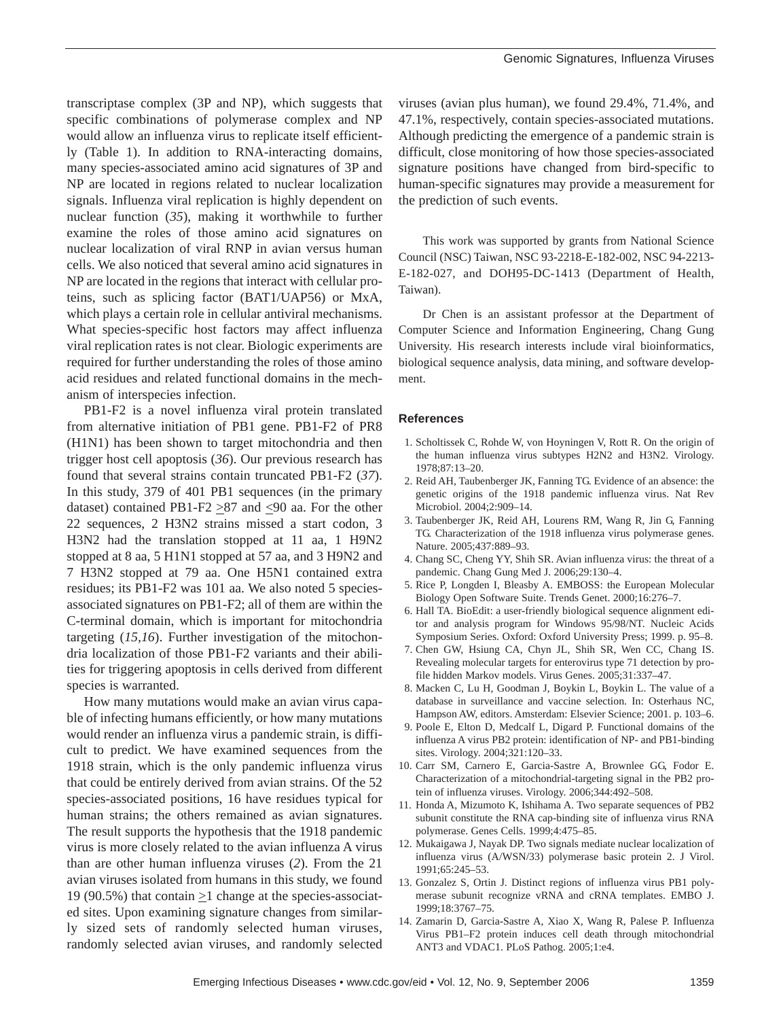transcriptase complex (3P and NP), which suggests that specific combinations of polymerase complex and NP would allow an influenza virus to replicate itself efficiently (Table 1). In addition to RNA-interacting domains, many species-associated amino acid signatures of 3P and NP are located in regions related to nuclear localization signals. Influenza viral replication is highly dependent on nuclear function (*35*), making it worthwhile to further examine the roles of those amino acid signatures on nuclear localization of viral RNP in avian versus human cells. We also noticed that several amino acid signatures in NP are located in the regions that interact with cellular proteins, such as splicing factor (BAT1/UAP56) or MxA, which plays a certain role in cellular antiviral mechanisms. What species-specific host factors may affect influenza viral replication rates is not clear. Biologic experiments are required for further understanding the roles of those amino acid residues and related functional domains in the mechanism of interspecies infection.

PB1-F2 is a novel influenza viral protein translated from alternative initiation of PB1 gene. PB1-F2 of PR8 (H1N1) has been shown to target mitochondria and then trigger host cell apoptosis (*36*). Our previous research has found that several strains contain truncated PB1-F2 (*37*). In this study, 379 of 401 PB1 sequences (in the primary dataset) contained PB1-F2  $\geq$ 87 and  $\leq$ 90 aa. For the other 22 sequences, 2 H3N2 strains missed a start codon, 3 H3N2 had the translation stopped at 11 aa, 1 H9N2 stopped at 8 aa, 5 H1N1 stopped at 57 aa, and 3 H9N2 and 7 H3N2 stopped at 79 aa. One H5N1 contained extra residues; its PB1-F2 was 101 aa. We also noted 5 speciesassociated signatures on PB1-F2; all of them are within the C-terminal domain, which is important for mitochondria targeting (*15,16*). Further investigation of the mitochondria localization of those PB1-F2 variants and their abilities for triggering apoptosis in cells derived from different species is warranted.

How many mutations would make an avian virus capable of infecting humans efficiently, or how many mutations would render an influenza virus a pandemic strain, is difficult to predict. We have examined sequences from the 1918 strain, which is the only pandemic influenza virus that could be entirely derived from avian strains. Of the 52 species-associated positions, 16 have residues typical for human strains; the others remained as avian signatures. The result supports the hypothesis that the 1918 pandemic virus is more closely related to the avian influenza A virus than are other human influenza viruses (*2*). From the 21 avian viruses isolated from humans in this study, we found 19 (90.5%) that contain  $\geq$ 1 change at the species-associated sites. Upon examining signature changes from similarly sized sets of randomly selected human viruses, randomly selected avian viruses, and randomly selected

viruses (avian plus human), we found 29.4%, 71.4%, and 47.1%, respectively, contain species-associated mutations. Although predicting the emergence of a pandemic strain is difficult, close monitoring of how those species-associated signature positions have changed from bird-specific to human-specific signatures may provide a measurement for the prediction of such events.

This work was supported by grants from National Science Council (NSC) Taiwan, NSC 93-2218-E-182-002, NSC 94-2213- E-182-027, and DOH95-DC-1413 (Department of Health, Taiwan).

Dr Chen is an assistant professor at the Department of Computer Science and Information Engineering, Chang Gung University. His research interests include viral bioinformatics, biological sequence analysis, data mining, and software development.

#### **References**

- 1. Scholtissek C, Rohde W, von Hoyningen V, Rott R. On the origin of the human influenza virus subtypes H2N2 and H3N2. Virology. 1978;87:13–20.
- 2. Reid AH, Taubenberger JK, Fanning TG. Evidence of an absence: the genetic origins of the 1918 pandemic influenza virus. Nat Rev Microbiol. 2004;2:909–14.
- 3. Taubenberger JK, Reid AH, Lourens RM, Wang R, Jin G, Fanning TG. Characterization of the 1918 influenza virus polymerase genes. Nature. 2005;437:889–93.
- 4. Chang SC, Cheng YY, Shih SR. Avian influenza virus: the threat of a pandemic. Chang Gung Med J. 2006;29:130–4.
- 5. Rice P, Longden I, Bleasby A. EMBOSS: the European Molecular Biology Open Software Suite. Trends Genet. 2000;16:276–7.
- 6. Hall TA. BioEdit: a user-friendly biological sequence alignment editor and analysis program for Windows 95/98/NT. Nucleic Acids Symposium Series. Oxford: Oxford University Press; 1999. p. 95–8.
- 7. Chen GW, Hsiung CA, Chyn JL, Shih SR, Wen CC, Chang IS. Revealing molecular targets for enterovirus type 71 detection by profile hidden Markov models. Virus Genes. 2005;31:337–47.
- 8. Macken C, Lu H, Goodman J, Boykin L, Boykin L. The value of a database in surveillance and vaccine selection. In: Osterhaus NC, Hampson AW, editors. Amsterdam: Elsevier Science; 2001. p. 103–6.
- 9. Poole E, Elton D, Medcalf L, Digard P. Functional domains of the influenza A virus PB2 protein: identification of NP- and PB1-binding sites. Virology. 2004;321:120–33.
- 10. Carr SM, Carnero E, Garcia-Sastre A, Brownlee GG, Fodor E. Characterization of a mitochondrial-targeting signal in the PB2 protein of influenza viruses. Virology. 2006;344:492–508.
- 11. Honda A, Mizumoto K, Ishihama A. Two separate sequences of PB2 subunit constitute the RNA cap-binding site of influenza virus RNA polymerase. Genes Cells. 1999;4:475–85.
- 12. Mukaigawa J, Nayak DP. Two signals mediate nuclear localization of influenza virus (A/WSN/33) polymerase basic protein 2. J Virol. 1991;65:245–53.
- 13. Gonzalez S, Ortin J. Distinct regions of influenza virus PB1 polymerase subunit recognize vRNA and cRNA templates. EMBO J. 1999;18:3767–75.
- 14. Zamarin D, Garcia-Sastre A, Xiao X, Wang R, Palese P. Influenza Virus PB1–F2 protein induces cell death through mitochondrial ANT3 and VDAC1. PLoS Pathog. 2005;1:e4.